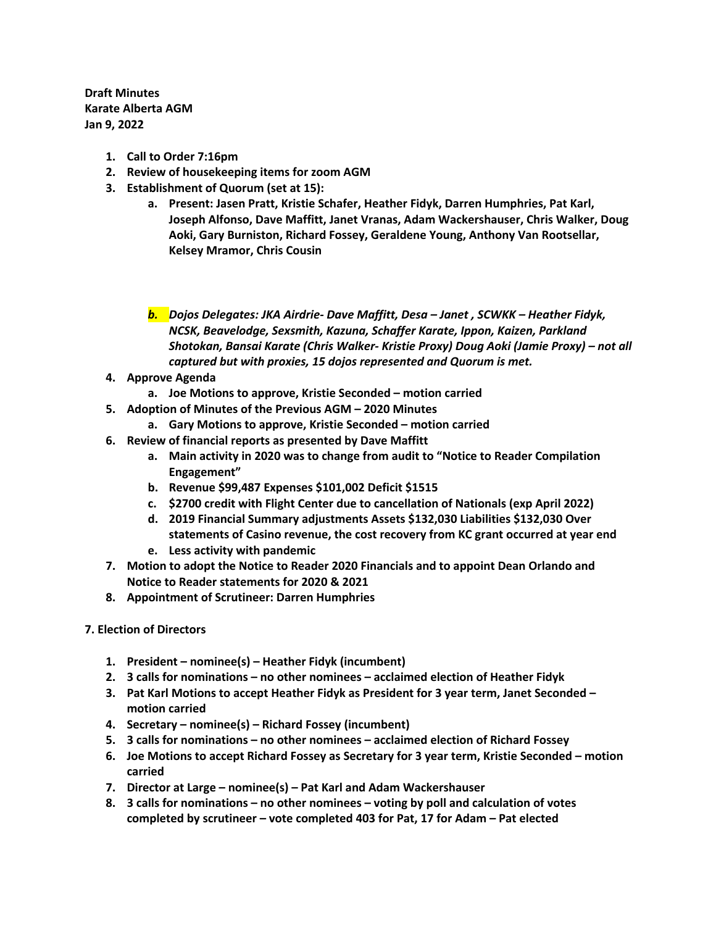**Draft Minutes Karate Alberta AGM Jan 9, 2022** 

- **1. Call to Order 7:16pm**
- **2. Review of housekeeping items for zoom AGM**
- **3. Establishment of Quorum (set at 15):** 
	- **a. Present: Jasen Pratt, Kristie Schafer, Heather Fidyk, Darren Humphries, Pat Karl, Joseph Alfonso, Dave Maffitt, Janet Vranas, Adam Wackershauser, Chris Walker, Doug Aoki, Gary Burniston, Richard Fossey, Geraldene Young, Anthony Van Rootsellar, Kelsey Mramor, Chris Cousin**

*b. Dojos Delegates: JKA Airdrie- Dave Maffitt, Desa – Janet , SCWKK – Heather Fidyk, NCSK, Beavelodge, Sexsmith, Kazuna, Schaffer Karate, Ippon, Kaizen, Parkland Shotokan, Bansai Karate (Chris Walker- Kristie Proxy) Doug Aoki (Jamie Proxy) – not all captured but with proxies, 15 dojos represented and Quorum is met.* 

- **4. Approve Agenda** 
	- **a. Joe Motions to approve, Kristie Seconded – motion carried**
- **5. Adoption of Minutes of the Previous AGM – 2020 Minutes** 
	- **a. Gary Motions to approve, Kristie Seconded – motion carried**
- **6. Review of financial reports as presented by Dave Maffitt** 
	- **a. Main activity in 2020 was to change from audit to "Notice to Reader Compilation Engagement"**
	- **b. Revenue \$99,487 Expenses \$101,002 Deficit \$1515**
	- **c. \$2700 credit with Flight Center due to cancellation of Nationals (exp April 2022)**
	- **d. 2019 Financial Summary adjustments Assets \$132,030 Liabilities \$132,030 Over statements of Casino revenue, the cost recovery from KC grant occurred at year end**
	- **e. Less activity with pandemic**
- **7. Motion to adopt the Notice to Reader 2020 Financials and to appoint Dean Orlando and Notice to Reader statements for 2020 & 2021**
- **8. Appointment of Scrutineer: Darren Humphries**
- **7. Election of Directors** 
	- **1. President – nominee(s) – Heather Fidyk (incumbent)**
	- **2. 3 calls for nominations – no other nominees – acclaimed election of Heather Fidyk**
	- **3. Pat Karl Motions to accept Heather Fidyk as President for 3 year term, Janet Seconded – motion carried**
	- **4. Secretary – nominee(s) – Richard Fossey (incumbent)**
	- **5. 3 calls for nominations – no other nominees – acclaimed election of Richard Fossey**
	- **6. Joe Motions to accept Richard Fossey as Secretary for 3 year term, Kristie Seconded – motion carried**
	- **7. Director at Large – nominee(s) – Pat Karl and Adam Wackershauser**
	- **8. 3 calls for nominations – no other nominees – voting by poll and calculation of votes completed by scrutineer – vote completed 403 for Pat, 17 for Adam – Pat elected**